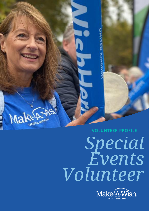Make Prince **VOLUNTEER PROFILE**

# *Special Events Volunteer*

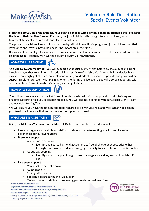

# **Volunteer Role Description** Special Events Volunteer

**More than 60,000 children in the UK have been diagnosed with a critical condition, changing their lives and the lives of their families forever.** For them, the joy of childhood is brought to an abrupt end, with treatment, hospital appointments and sleepless nights taking over.

The power of a wish revives a childhood stolen by critical illness. It brings light and joy to children and their loved ones and leaves a profound and lasting impact on all their lives.

But we can't be that light for everyone. It takes an army of volunteers like you to help these children feel like children again. Together, we have the power to **#LightUpTheDarkness.**

## **WHAT WILL I BE DOING?**



As a **Special Events Volunteer**, you will support our special events which help raise crucial funds to grant life-changing wishes for children with critical illnesses. Make-A-Wish UK's high-end balls and galas have always been a highlight of our events calendar, raising hundreds of thousands of pounds and you could be supporting either pre-event with planning or on-site during the live event. You will also be supporting with other events on Make-A-Wish UK's behalf, such as golf days.

# **HOW WILL I BE SUPPORTED?**



You will have an allocated contact at Make-A-Wish UK who will brief you, provide on-site training and ongoing support to help you succeed in this role. You will also have contact with our Special Events Team and our Volunteering Team

We will ensure you have the training and tools required to deliver your role and will regularly be seeking your feedback to ensure that we can deliver the support you need.

# **WHAT ARE MY CORE TASKS?**

Using the Make-A-Wish values of **Be Magical**, **Be Inclusive** and **Be Inspired** you will:

- Use your organisational skills and ability to network to create exciting, magical and inclusive experiences for our event guests
- **Pre-event support:**
	- o Auction prize sourcing
		- Identify and source high-end auction prizes free of charge or at cost price either through your own networks or through your ability to search for opportunities online
	- o Goody bag sourcing
		- Identify and source premium gifts free of charge e.g.candles, luxury chocolate, gift bags
- **Live event support:**
	- o Venue set up and take down
	- o Guest check-in
	- o Selling raffle tickets
	- o Spotting bidders during the live auction
	- o Taking payment details and processing payments on card machines

Make-A-Wish Foundation® UK Registered Address: Make-A-Wish Foundation UK, Seventh Floor, Thames Tower, Station Road, Reading RG1 1LX make-a-wish.org.uk 01276 40 50 60 Charity Registration No. (England and Wales) 295672 / (Scotland) SC037479 Company Registration No. 2031836

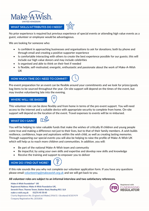

#### **WHAT SKILLS/ATTRIBUTES DO I NEED?**

No prior experience is required but previous experience of special events or attending high value events as a guest, volunteer or employee would be advantageous.

We are looking for someone who:

- Is confident in approaching businesses and organisations to ask for donations; both by phone and through email and creating a positive supporter experience
- Is comfortable interacting with others to create the best experience possible for our guests; this will include our high value donors and may include celebrities
- Is organised and able to think on their feet if needed
- Is flexible, self-motivated, energetic, enthusiastic and passionate about the work of Make-A-Wish UK

# **HOW MUCH TIME DO I NEED TO COMMIT?**

Pre-event preparation for an event can be flexible around your commitments and we look for prizes/goody bag items to be sourced throughout the year. On-site support will depend on the times of the event, but may involve volunteering late into the evening.

#### **WHERE WILL I BE BASED?**

This volunteer role can be done flexibly and from home in terms of the pre-event support. You will need access to the internet and a suitable device with appropriate security to complete from home. On-site support will depend on the location of the event. Travel expenses to events will be re-imbursed.

#### **WHAT DO I GAIN?**



You will be helping to raise valuable funds that make the wishes of critically ill children and young people come true and making a difference not just to their lives, but to that of their family members. A wish builds resilience, confidence, hope and aspirations within the wish child, as well as creating lasting memories. Through supporting our special events you will also be helping to raise the profile of Make-A-Wish UK which will help us to reach more children and communities. In addition, you will:

- Be part of the national Make-A-Wish team and community
- Be impactful, by using your own skills and expertise and develop new skills and knowledge
- Receive the training and support to empower you to deliver

## **HOW DO I FIND OUT MORE?**



If this role sounds like you why not complete our volunteer application form. If you have any questions please email [volunteering@makeawish.org.uk](mailto:volunteering@makeawish.org.uk) and we will get back to you.

**All volunteer roles are subject to an informal interview and two satisfactory references.**

Make-A-Wish Foundation® UK Registered Address: Make-A-Wish Foundation UK, Seventh Floor, Thames Tower, Station Road, Reading RG1 1LX make-a-wish.org.uk 01276 40 50 60 Charity Registration No. (England and Wales) 295672 / (Scotland) SC037479 Company Registration No. 2031836